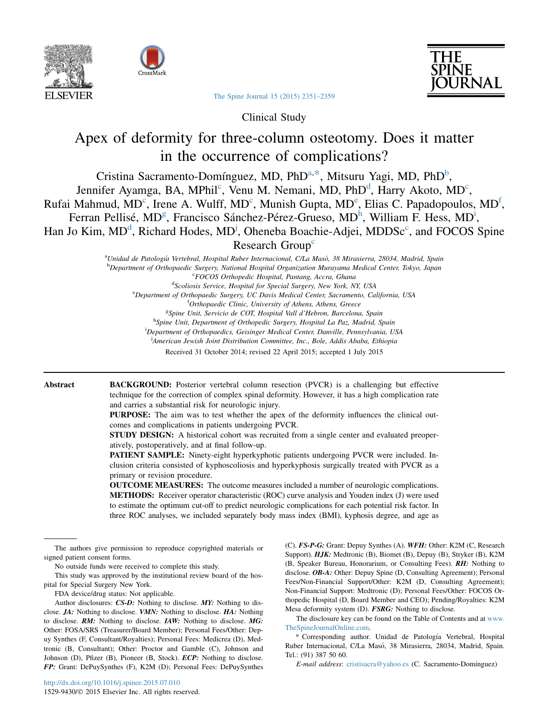



The Spine Journal 15 (2015) 2351–2359

THE SPINE OURNAL

Clinical Study

# Apex of deformity for three-column osteotomy. Does it matter in the occurrence of complications?

Cristina Sacramento-Domínguez, MD, PhD<sup>a,\*</sup>, Mitsuru Yagi, MD, PhD<sup>b</sup>,

Jennifer Ayamga, BA, MPhil<sup>c</sup>, Venu M. Nemani, MD, PhD<sup>d</sup>, Harry Akoto, MD<sup>c</sup>,

Rufai Mahmud, MD<sup>c</sup>, Irene A. Wulff, MD<sup>c</sup>, Munish Gupta, MD<sup>e</sup>, Elias C. Papadopoulos, MD<sup>f</sup>,

Ferran Pellisé, MD<sup>g</sup>, Francisco Sánchez-Pérez-Grueso, MD<sup>h</sup>, William F. Hess, MD<sup>i</sup>,

Han Jo Kim, MD<sup>d</sup>, Richard Hodes, MD<sup>j</sup>, Oheneba Boachie-Adjei, MDDSc<sup>c</sup>, and FOCOS Spine

Research Group<sup>c</sup>

<sup>a</sup>Unidad de Patología Vertebral, Hospital Ruber Internacional, C/La Masó, 38 Mirasierra, 28034, Madrid, Spain<br>PDepartment of Orthopaedic Surgery National Hospital Organization Murayama Medical Center Tehyo, Japan <sup>b</sup>Department of Orthopaedic Surgery, National Hospital Organization Murayama Medical Center, Tokyo, Japan <sup>c</sup>FOCOS Orthopedic Hospital, Pantang, Accra, Ghana <sup>d</sup>Scoliosis Service, Hospital for Special Surgery, New York, NY, USA e Department of Orthopaedic Surgery, UC Davis Medical Center, Sacramento, California, USA <sup>f</sup>Orthopaedic Clinic, University of Athens, Athens, Greece <sup>g</sup>Spine Unit, Servicio de COT, Hospital Vall d'Hebron, Barcelona, Spain h<br>Spine Unit, Department of Orthopedic Surgery, Hospital La Paz, Madrid, Spain

<sup>i</sup>Department of Orthopaedics, Geisinger Medical Center, Danville, Pennsylvania, USA

<sup>j</sup>American Jewish Joint Distribution Committee, Inc., Bole, Addis Ababa, Ethiopia

Received 31 October 2014; revised 22 April 2015; accepted 1 July 2015

Abstract BACKGROUND: Posterior vertebral column resection (PVCR) is a challenging but effective technique for the correction of complex spinal deformity. However, it has a high complication rate and carries a substantial risk for neurologic injury.

> PURPOSE: The aim was to test whether the apex of the deformity influences the clinical outcomes and complications in patients undergoing PVCR.

> STUDY DESIGN: A historical cohort was recruited from a single center and evaluated preoperatively, postoperatively, and at final follow-up.

> PATIENT SAMPLE: Ninety-eight hyperkyphotic patients undergoing PVCR were included. Inclusion criteria consisted of kyphoscoliosis and hyperkyphosis surgically treated with PVCR as a primary or revision procedure.

> OUTCOME MEASURES: The outcome measures included a number of neurologic complications. METHODS: Receiver operator characteristic (ROC) curve analysis and Youden index (J) were used to estimate the optimum cut-off to predict neurologic complications for each potential risk factor. In three ROC analyses, we included separately body mass index (BMI), kyphosis degree, and age as

The authors give permission to reproduce copyrighted materials or signed patient consent forms.

No outside funds were received to complete this study.

This study was approved by the institutional review board of the hospital for Special Surgery New York.

FDA device/drug status: Not applicable.

Author disclosures: CS-D: Nothing to disclose. MY: Nothing to disclose. JA: Nothing to disclose. VMN: Nothing to disclose. HA: Nothing to disclose. RM: Nothing to disclose. IAW: Nothing to disclose. MG: Other: FOSA/SRS (Treasurer/Board Member); Personal Fees/Other: Depuy Synthes (F, Consultant/Royalties); Personal Fees: Medicrea (D), Medtronic (B, Consultant); Other: Proctor and Gamble (C), Johnson and Johnson (D), Pfizer (B), Pioneer (B, Stock). ECP: Nothing to disclose. FP: Grant: DePuySynthes (F), K2M (D); Personal Fees: DePuySynthes

(C). FS-P-G: Grant: Depuy Synthes (A). WFH: Other: K2M (C, Research Support). HJK: Medtronic (B), Biomet (B), Depuy (B), Stryker (B), K2M (B, Speaker Bureau, Honorarium, or Consulting Fees). RH: Nothing to disclose. OB-A: Other: Depuy Spine (D, Consulting Agreement); Personal Fees/Non-Financial Support/Other: K2M (D, Consulting Agreement); Non-Financial Support: Medtronic (D); Personal Fees/Other: FOCOS Orthopedic Hospital (D, Board Member and CEO); Pending/Royalties: K2M Mesa deformity system (D). **FSRG:** Nothing to disclose.

The disclosure key can be found on the Table of Contents and at www. TheSpineJournalOnline.com.

\* Corresponding author. Unidad de Patologıa Vertebral, Hospital Ruber Internacional, C/La Masó, 38 Mirasierra, 28034, Madrid, Spain. Tel.: (91) 387 50 60.

E-mail address: cristisacra@yahoo.es (C. Sacramento-Domínguez)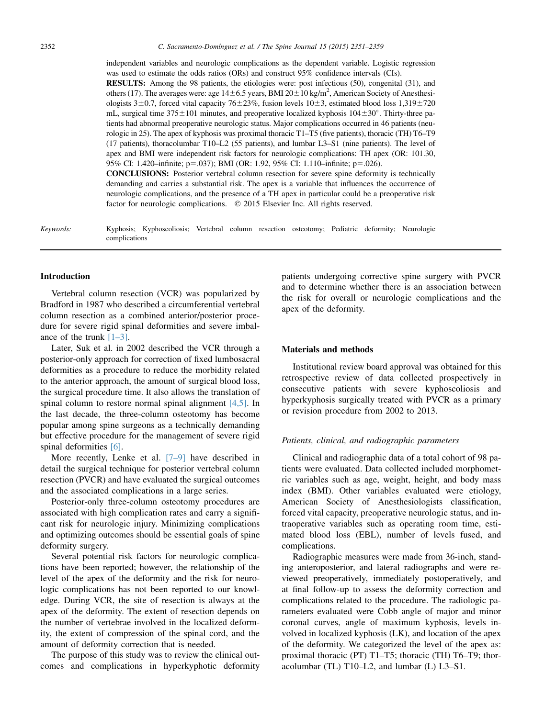independent variables and neurologic complications as the dependent variable. Logistic regression was used to estimate the odds ratios (ORs) and construct 95% confidence intervals (CIs). RESULTS: Among the 98 patients, the etiologies were: post infectious (50), congenital (31), and others (17). The averages were: age  $14\pm6.5$  years, BMI 20 $\pm10$  kg/m<sup>2</sup>, American Society of Anesthesiologists  $3\pm0.7$ , forced vital capacity  $76\pm23\%$ , fusion levels  $10\pm3$ , estimated blood loss 1,319 $\pm720$ mL, surgical time  $375\pm101$  minutes, and preoperative localized kyphosis  $104\pm30^\circ$ . Thirty-three patients had abnormal preoperative neurologic status. Major complications occurred in 46 patients (neurologic in 25). The apex of kyphosis was proximal thoracic T1–T5 (five patients), thoracic (TH) T6–T9 (17 patients), thoracolumbar T10–L2 (55 patients), and lumbar L3–S1 (nine patients). The level of apex and BMI were independent risk factors for neurologic complications: TH apex (OR: 101.30, 95% CI: 1.420-infinite; p=.037); BMI (OR: 1.92, 95% CI: 1.110-infinite; p=.026). CONCLUSIONS: Posterior vertebral column resection for severe spine deformity is technically demanding and carries a substantial risk. The apex is a variable that influences the occurrence of neurologic complications, and the presence of a TH apex in particular could be a preoperative risk factor for neurologic complications.  $\oslash$  2015 Elsevier Inc. All rights reserved.

Keywords: Kyphosis; Kyphoscoliosis; Vertebral column resection osteotomy; Pediatric deformity; Neurologic complications

# Introduction

Vertebral column resection (VCR) was popularized by Bradford in 1987 who described a circumferential vertebral column resection as a combined anterior/posterior procedure for severe rigid spinal deformities and severe imbalance of the trunk [1–3].

Later, Suk et al. in 2002 described the VCR through a posterior-only approach for correction of fixed lumbosacral deformities as a procedure to reduce the morbidity related to the anterior approach, the amount of surgical blood loss, the surgical procedure time. It also allows the translation of spinal column to restore normal spinal alignment  $[4,5]$ . In the last decade, the three-column osteotomy has become popular among spine surgeons as a technically demanding but effective procedure for the management of severe rigid spinal deformities [6].

More recently, Lenke et al. [7–9] have described in detail the surgical technique for posterior vertebral column resection (PVCR) and have evaluated the surgical outcomes and the associated complications in a large series.

Posterior-only three-column osteotomy procedures are associated with high complication rates and carry a significant risk for neurologic injury. Minimizing complications and optimizing outcomes should be essential goals of spine deformity surgery.

Several potential risk factors for neurologic complications have been reported; however, the relationship of the level of the apex of the deformity and the risk for neurologic complications has not been reported to our knowledge. During VCR, the site of resection is always at the apex of the deformity. The extent of resection depends on the number of vertebrae involved in the localized deformity, the extent of compression of the spinal cord, and the amount of deformity correction that is needed.

The purpose of this study was to review the clinical outcomes and complications in hyperkyphotic deformity patients undergoing corrective spine surgery with PVCR and to determine whether there is an association between the risk for overall or neurologic complications and the apex of the deformity.

#### Materials and methods

Institutional review board approval was obtained for this retrospective review of data collected prospectively in consecutive patients with severe kyphoscoliosis and hyperkyphosis surgically treated with PVCR as a primary or revision procedure from 2002 to 2013.

#### Patients, clinical, and radiographic parameters

Clinical and radiographic data of a total cohort of 98 patients were evaluated. Data collected included morphometric variables such as age, weight, height, and body mass index (BMI). Other variables evaluated were etiology, American Society of Anesthesiologists classification, forced vital capacity, preoperative neurologic status, and intraoperative variables such as operating room time, estimated blood loss (EBL), number of levels fused, and complications.

Radiographic measures were made from 36-inch, standing anteroposterior, and lateral radiographs and were reviewed preoperatively, immediately postoperatively, and at final follow-up to assess the deformity correction and complications related to the procedure. The radiologic parameters evaluated were Cobb angle of major and minor coronal curves, angle of maximum kyphosis, levels involved in localized kyphosis (LK), and location of the apex of the deformity. We categorized the level of the apex as: proximal thoracic (PT) T1–T5; thoracic (TH) T6–T9; thoracolumbar (TL) T10–L2, and lumbar (L) L3–S1.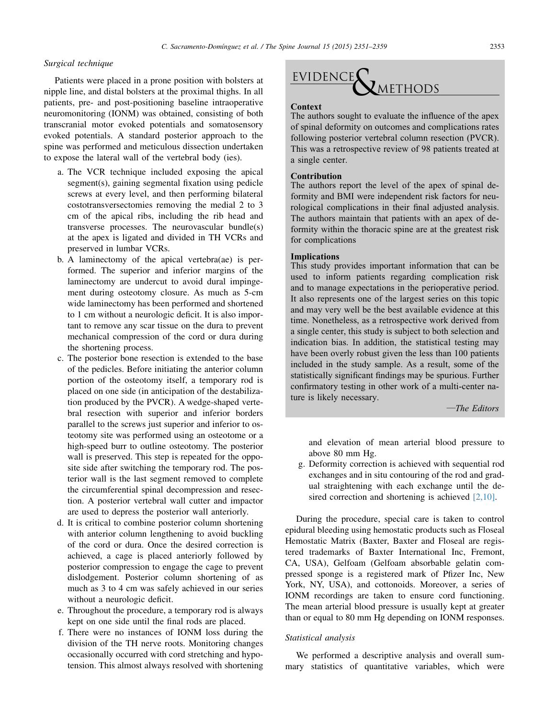#### Surgical technique

Patients were placed in a prone position with bolsters at nipple line, and distal bolsters at the proximal thighs. In all patients, pre- and post-positioning baseline intraoperative neuromonitoring (IONM) was obtained, consisting of both transcranial motor evoked potentials and somatosensory evoked potentials. A standard posterior approach to the spine was performed and meticulous dissection undertaken to expose the lateral wall of the vertebral body (ies).

- a. The VCR technique included exposing the apical segment(s), gaining segmental fixation using pedicle screws at every level, and then performing bilateral costotransversectomies removing the medial 2 to 3 cm of the apical ribs, including the rib head and transverse processes. The neurovascular bundle(s) at the apex is ligated and divided in TH VCRs and preserved in lumbar VCRs.
- b. A laminectomy of the apical vertebra(ae) is performed. The superior and inferior margins of the laminectomy are undercut to avoid dural impingement during osteotomy closure. As much as 5-cm wide laminectomy has been performed and shortened to 1 cm without a neurologic deficit. It is also important to remove any scar tissue on the dura to prevent mechanical compression of the cord or dura during the shortening process.
- c. The posterior bone resection is extended to the base of the pedicles. Before initiating the anterior column portion of the osteotomy itself, a temporary rod is placed on one side (in anticipation of the destabilization produced by the PVCR). A wedge-shaped vertebral resection with superior and inferior borders parallel to the screws just superior and inferior to osteotomy site was performed using an osteotome or a high-speed burr to outline osteotomy. The posterior wall is preserved. This step is repeated for the opposite side after switching the temporary rod. The posterior wall is the last segment removed to complete the circumferential spinal decompression and resection. A posterior vertebral wall cutter and impactor are used to depress the posterior wall anteriorly.
- d. It is critical to combine posterior column shortening with anterior column lengthening to avoid buckling of the cord or dura. Once the desired correction is achieved, a cage is placed anteriorly followed by posterior compression to engage the cage to prevent dislodgement. Posterior column shortening of as much as 3 to 4 cm was safely achieved in our series without a neurologic deficit.
- e. Throughout the procedure, a temporary rod is always kept on one side until the final rods are placed.
- f. There were no instances of IONM loss during the division of the TH nerve roots. Monitoring changes occasionally occurred with cord stretching and hypotension. This almost always resolved with shortening

# **EVIDENCE METHODS**

#### Context

The authors sought to evaluate the influence of the apex of spinal deformity on outcomes and complications rates following posterior vertebral column resection (PVCR). This was a retrospective review of 98 patients treated at a single center.

#### Contribution

The authors report the level of the apex of spinal deformity and BMI were independent risk factors for neurological complications in their final adjusted analysis. The authors maintain that patients with an apex of deformity within the thoracic spine are at the greatest risk for complications

#### Implications

This study provides important information that can be used to inform patients regarding complication risk and to manage expectations in the perioperative period. It also represents one of the largest series on this topic and may very well be the best available evidence at this time. Nonetheless, as a retrospective work derived from a single center, this study is subject to both selection and indication bias. In addition, the statistical testing may have been overly robust given the less than 100 patients included in the study sample. As a result, some of the statistically significant findings may be spurious. Further confirmatory testing in other work of a multi-center nature is likely necessary.

—The Editors

and elevation of mean arterial blood pressure to above 80 mm Hg.

g. Deformity correction is achieved with sequential rod exchanges and in situ contouring of the rod and gradual straightening with each exchange until the desired correction and shortening is achieved [2,10].

During the procedure, special care is taken to control epidural bleeding using hemostatic products such as Floseal Hemostatic Matrix (Baxter, Baxter and Floseal are registered trademarks of Baxter International Inc, Fremont, CA, USA), Gelfoam (Gelfoam absorbable gelatin compressed sponge is a registered mark of Pfizer Inc, New York, NY, USA), and cottonoids. Moreover, a series of IONM recordings are taken to ensure cord functioning. The mean arterial blood pressure is usually kept at greater than or equal to 80 mm Hg depending on IONM responses.

#### Statistical analysis

We performed a descriptive analysis and overall summary statistics of quantitative variables, which were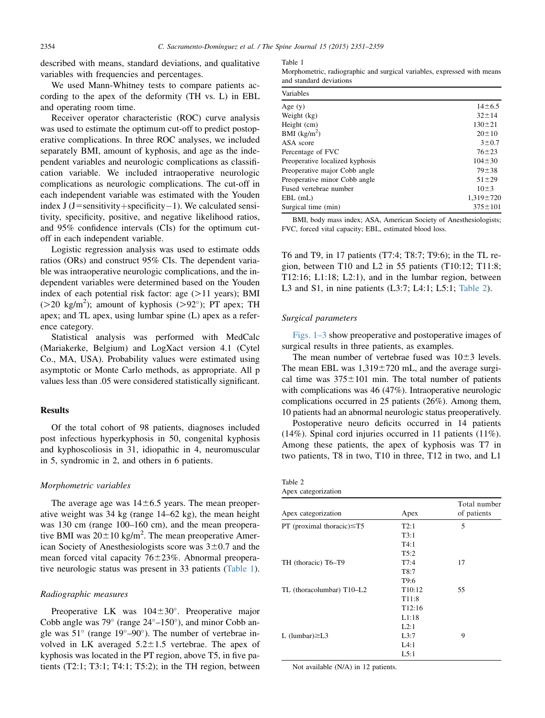described with means, standard deviations, and qualitative variables with frequencies and percentages.

We used Mann-Whitney tests to compare patients according to the apex of the deformity (TH vs. L) in EBL and operating room time.

Receiver operator characteristic (ROC) curve analysis was used to estimate the optimum cut-off to predict postoperative complications. In three ROC analyses, we included separately BMI, amount of kyphosis, and age as the independent variables and neurologic complications as classification variable. We included intraoperative neurologic complications as neurologic complications. The cut-off in each independent variable was estimated with the Youden index J (J=sensitivity+specificity-1). We calculated sensitivity, specificity, positive, and negative likelihood ratios, and 95% confidence intervals (CIs) for the optimum cutoff in each independent variable.

Logistic regression analysis was used to estimate odds ratios (ORs) and construct 95% CIs. The dependent variable was intraoperative neurologic complications, and the independent variables were determined based on the Youden index of each potential risk factor: age  $(>11$  years); BMI ( $>$ 20 kg/m<sup>2</sup>); amount of kyphosis ( $>$ 92°); PT apex; TH apex; and TL apex, using lumbar spine (L) apex as a reference category.

Statistical analysis was performed with MedCalc (Mariakerke, Belgium) and LogXact version 4.1 (Cytel Co., MA, USA). Probability values were estimated using asymptotic or Monte Carlo methods, as appropriate. All p values less than .05 were considered statistically significant.

# Results

Of the total cohort of 98 patients, diagnoses included post infectious hyperkyphosis in 50, congenital kyphosis and kyphoscoliosis in 31, idiopathic in 4, neuromuscular in 5, syndromic in 2, and others in 6 patients.

#### Morphometric variables

The average age was  $14\pm6.5$  years. The mean preoperative weight was 34 kg (range 14–62 kg), the mean height was 130 cm (range 100–160 cm), and the mean preoperative BMI was  $20 \pm 10 \text{ kg/m}^2$ . The mean preoperative American Society of Anesthesiologists score was  $3\pm0.7$  and the mean forced vital capacity  $76\pm23\%$ . Abnormal preoperative neurologic status was present in 33 patients (Table 1).

#### Radiographic measures

Preoperative LK was  $104 \pm 30^{\circ}$ . Preoperative major Cobb angle was  $79^{\circ}$  (range  $24^{\circ}-150^{\circ}$ ), and minor Cobb angle was  $51^{\circ}$  (range  $19^{\circ}$ –90°). The number of vertebrae involved in LK averaged  $5.2 \pm 1.5$  vertebrae. The apex of kyphosis was located in the PT region, above T5, in five patients (T2:1; T3:1; T4:1; T5:2); in the TH region, between

Table 1

Morphometric, radiographic and surgical variables, expressed with means and standard deviations

| Variables                       |                 |
|---------------------------------|-----------------|
| Age $(y)$                       | $14 \pm 6.5$    |
| Weight (kg)                     | $32 + 14$       |
| Height (cm)                     | $130 \pm 21$    |
| BMI $(kg/m2)$                   | $20 \pm 10$     |
| ASA score                       | $3 \pm 0.7$     |
| Percentage of FVC               | $76 + 23$       |
| Preoperative localized kyphosis | $104 \pm 30$    |
| Preoperative major Cobb angle   | $79 + 38$       |
| Preoperative minor Cobb angle   | $51 \pm 29$     |
| Fused vertebrae number          | $10\pm3$        |
| $EBL$ (mL)                      | $1,319 \pm 720$ |
| Surgical time (min)             | $375 \pm 101$   |

BMI, body mass index; ASA, American Society of Anesthesiologists; FVC, forced vital capacity; EBL, estimated blood loss.

T6 and T9, in 17 patients (T7:4; T8:7; T9:6); in the TL region, between T10 and L2 in 55 patients (T10:12; T11:8; T12:16; L1:18; L2:1), and in the lumbar region, between L3 and S1, in nine patients (L3:7; L4:1; L5:1; Table 2).

#### Surgical parameters

Figs. 1–3 show preoperative and postoperative images of surgical results in three patients, as examples.

The mean number of vertebrae fused was  $10\pm3$  levels. The mean EBL was  $1,319\pm720$  mL, and the average surgical time was  $375 \pm 101$  min. The total number of patients with complications was 46 (47%). Intraoperative neurologic complications occurred in 25 patients (26%). Among them, 10 patients had an abnormal neurologic status preoperatively.

Postoperative neuro deficits occurred in 14 patients (14%). Spinal cord injuries occurred in 11 patients (11%). Among these patients, the apex of kyphosis was T7 in two patients, T8 in two, T10 in three, T12 in two, and L1

| Table 2 |                     |
|---------|---------------------|
|         | Apex categorization |

| Apex categorization              | Apex               | Total number<br>of patients |
|----------------------------------|--------------------|-----------------------------|
| PT (proximal thoracic) $\leq$ T5 | T2:1               | 5                           |
|                                  | T3:1               |                             |
|                                  | T4:1               |                             |
|                                  | T5:2               |                             |
| TH (thoracic) T6-T9              | T7:4               | 17                          |
|                                  | T8:7               |                             |
|                                  | T9:6               |                             |
| TL (thoracolumbar) T10-L2        | T <sub>10:12</sub> | 55                          |
|                                  | T <sub>11:8</sub>  |                             |
|                                  | T12:16             |                             |
|                                  | L1:18              |                             |
|                                  | L2:1               |                             |
| L (lumbar) $\geq$ L3             | L3:7               | 9                           |
|                                  | L4:1               |                             |
|                                  | L5:1               |                             |

Not available (N/A) in 12 patients.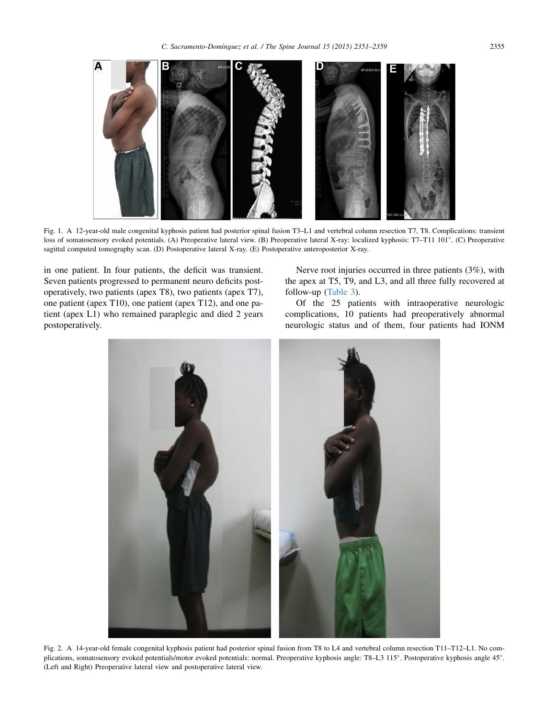

Fig. 1. A 12-year-old male congenital kyphosis patient had posterior spinal fusion T3–L1 and vertebral column resection T7, T8. Complications: transient loss of somatosensory evoked potentials. (A) Preoperative lateral view. (B) Preoperative lateral X-ray: localized kyphosis: T7-T11 101°. (C) Preoperative sagittal computed tomography scan. (D) Postoperative lateral X-ray. (E) Postoperative anteroposterior X-ray.

in one patient. In four patients, the deficit was transient. Seven patients progressed to permanent neuro deficits postoperatively, two patients (apex T8), two patients (apex T7), one patient (apex T10), one patient (apex T12), and one patient (apex L1) who remained paraplegic and died 2 years postoperatively.

Nerve root injuries occurred in three patients (3%), with the apex at T5, T9, and L3, and all three fully recovered at follow-up (Table 3).

Of the 25 patients with intraoperative neurologic complications, 10 patients had preoperatively abnormal neurologic status and of them, four patients had IONM



Fig. 2. A 14-year-old female congenital kyphosis patient had posterior spinal fusion from T8 to L4 and vertebral column resection T11–T12–L1. No complications, somatosensory evoked potentials/motor evoked potentials: normal. Preoperative kyphosis angle: T8-L3 115°. Postoperative kyphosis angle 45°. (Left and Right) Preoperative lateral view and postoperative lateral view.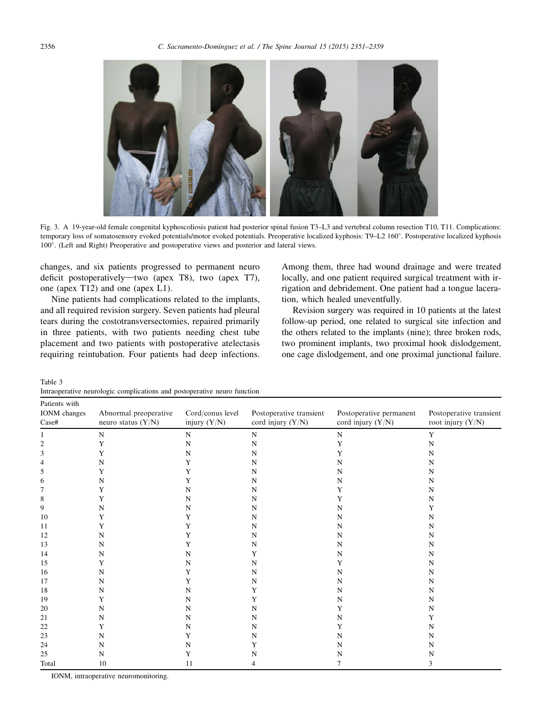

Fig. 3. A 19-year-old female congenital kyphoscoliosis patient had posterior spinal fusion T3–L3 and vertebral column resection T10, T11. Complications: temporary loss of somatosensory evoked potentials/motor evoked potentials. Preoperative localized kyphosis: T9-L2 160°. Postoperative localized kyphosis 100°. (Left and Right) Preoperative and postoperative views and posterior and lateral views.

changes, and six patients progressed to permanent neuro deficit postoperatively—two (apex T8), two (apex T7), one (apex T12) and one (apex L1).

Nine patients had complications related to the implants, and all required revision surgery. Seven patients had pleural tears during the costotransversectomies, repaired primarily in three patients, with two patients needing chest tube placement and two patients with postoperative atelectasis requiring reintubation. Four patients had deep infections.

Among them, three had wound drainage and were treated locally, and one patient required surgical treatment with irrigation and debridement. One patient had a tongue laceration, which healed uneventfully.

Revision surgery was required in 10 patients at the latest follow-up period, one related to surgical site infection and the others related to the implants (nine); three broken rods, two prominent implants, two proximal hook dislodgement, one cage dislodgement, and one proximal junctional failure.

Table 3 Intraoperative neurologic complications and postoperative neuro function

| Patients with<br><b>IONM</b> changes | Abnormal preoperative | Cord/conus level | Postoperative transient | Postoperative permanent | Postoperative transient |
|--------------------------------------|-----------------------|------------------|-------------------------|-------------------------|-------------------------|
| $\mbox{Case}\#$                      | neuro status $(Y/N)$  | injury (Y/N)     | cord injury $(Y/N)$     | cord injury (Y/N)       | root injury $(Y/N)$     |
|                                      | ${\bf N}$             | N                | N                       | N                       | Y                       |
| 2                                    | Y                     | N                | N                       | Y                       | N                       |
| 3                                    | Y                     | N                | N                       | Y                       | N                       |
|                                      | N                     | Y                | N                       | N                       | N                       |
| 5                                    | Y                     | Y                | N                       | N                       | N                       |
| 6                                    | N                     | Y                | N                       | N                       | N                       |
|                                      | Y                     | N                | N                       | Y                       | N                       |
| 8                                    | Y                     | N                | N                       | Y                       | N                       |
| 9                                    | N                     | N                | N                       | N                       | Y                       |
| 10                                   | Y                     | Y                | N                       | N                       | N                       |
| 11                                   | Y                     | Y                | N                       | N                       | N                       |
| 12                                   | N                     | Y                | N                       | N                       | N                       |
| 13                                   | N                     | Y                | N                       | N                       | N                       |
| 14                                   | N                     | N                | Y                       | N                       | N                       |
| 15                                   | Y                     | N                | N                       | Y                       | N                       |
| 16                                   | N                     | Y                | N                       | N                       | N                       |
| 17                                   | N                     | Y                | N                       | N                       | N                       |
| 18                                   | N                     | N                | Y                       | N                       | N                       |
| 19                                   | Y                     | N                | Y                       | N                       | N                       |
| 20                                   | N                     | N                | N                       | Y                       | N                       |
| 21                                   | N                     | N                | N                       | N                       | Y                       |
| 22                                   | Y                     | N                | N                       | Y                       | N                       |
| 23                                   | N                     | Y                | N                       | N                       | N                       |
| 24                                   | ${\bf N}$             | N                | Y                       | N                       | N                       |
| 25                                   | $\mathbf N$           | Y                | N                       | N                       | N                       |
| Total                                | 10                    | 11               | 4                       | 7                       | 3                       |

IONM, intraoperative neuromonitoring.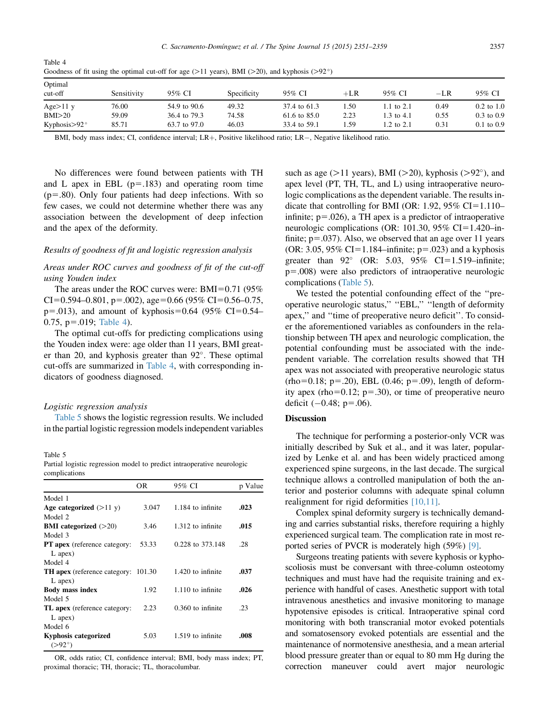Table 4 Goodness of fit using the optimal cut-off for age ( $>11$  years), BMI ( $>20$ ), and kyphosis ( $>92^{\circ}$ )

| Optimal<br>cut-off   | Sensitivity | 95% CI       | Specificity | 95% CI       | $+LR$ | 95% CI     | $-LR$ | 95% CI         |
|----------------------|-------------|--------------|-------------|--------------|-------|------------|-------|----------------|
| Age $>11$ y          | 76.00       | 54.9 to 90.6 | 49.32       | 37.4 to 61.3 | 1.50  | 1.1 to 2.1 | 0.49  | $0.2$ to $1.0$ |
| BMI>20               | 59.09       | 36.4 to 79.3 | 74.58       | 61.6 to 85.0 | 2.23  | 1.3 to 4.1 | 0.55  | $0.3$ to $0.9$ |
| Kyphosis $>92^\circ$ | 85.71       | 63.7 to 97.0 | 46.03       | 33.4 to 59.1 | 1.59  | 1.2 to 2.1 | 0.31  | $0.1$ to $0.9$ |

BMI, body mass index; CI, confidence interval; LR+, Positive likelihood ratio; LR-, Negative likelihood ratio.

No differences were found between patients with TH and L apex in EBL  $(p=.183)$  and operating room time  $(p=.80)$ . Only four patients had deep infections. With so few cases, we could not determine whether there was any association between the development of deep infection and the apex of the deformity.

#### Results of goodness of fit and logistic regression analysis

# Areas under ROC curves and goodness of fit of the cut-off using Youden index

The areas under the ROC curves were:  $BMI=0.71$  (95%)  $CI=0.594-0.801$ , p=.002), age=0.66 (95% CI=0.56–0.75,  $p=0.013$ ), and amount of kyphosis=0.64 (95% CI=0.54– 0.75,  $p = .019$ ; Table 4).

The optimal cut-offs for predicting complications using the Youden index were: age older than 11 years, BMI greater than 20, and kyphosis greater than 92°. These optimal cut-offs are summarized in Table 4, with corresponding indicators of goodness diagnosed.

#### Logistic regression analysis

Table 5 shows the logistic regression results. We included in the partial logistic regression models independent variables

#### Table 5

Partial logistic regression model to predict intraoperative neurologic complications

|                                                  | OR    | 95% CI              | p Value |
|--------------------------------------------------|-------|---------------------|---------|
| Model 1                                          |       |                     |         |
| Age categorized $(>11 \text{ y})$                | 3.047 | 1.184 to infinite   | .023    |
| Model 2                                          |       |                     |         |
| <b>BMI</b> categorized $(>20)$                   | 3.46  | 1.312 to infinite   | .015    |
| Model 3                                          |       |                     |         |
| <b>PT</b> apex (reference category:              | 53.33 | 0.228 to 373.148    | .28     |
| $L$ apex)                                        |       |                     |         |
| Model 4                                          |       |                     |         |
| <b>TH apex</b> (reference category: 101.30)      |       | 1.420 to infinite   | .037    |
| $L$ apex)                                        |       |                     |         |
| <b>Body mass index</b>                           | 1.92  | $1.110$ to infinite | .026    |
| Model 5                                          |       |                     |         |
| <b>TL</b> apex (reference category:<br>$L$ apex) | 2.23  | $0.360$ to infinite | 23      |
| Model 6                                          |       |                     |         |
| Kyphosis categorized<br>$(>92^{\circ})$          | 5.03  | 1.519 to infinite   | .008    |

OR, odds ratio; CI, confidence interval; BMI, body mass index; PT, proximal thoracic; TH, thoracic; TL, thoracolumbar.

such as age ( $>11$  years), BMI ( $>20$ ), kyphosis ( $>92^{\circ}$ ), and apex level (PT, TH, TL, and L) using intraoperative neurologic complications as the dependent variable. The results indicate that controlling for BMI (OR: 1.92, 95% CI=1.110– infinite;  $p=.026$ ), a TH apex is a predictor of intraoperative neurologic complications (OR: 101.30,  $95\%$  CI=1.420–infinite;  $p=.037$ ). Also, we observed that an age over 11 years (OR: 3.05, 95% CI=1.184–infinite;  $p=.023$ ) and a kyphosis greater than  $92^{\circ}$  (OR: 5.03, 95% CI=1.519–infinite;  $p=0.008$ ) were also predictors of intraoperative neurologic complications (Table 5).

We tested the potential confounding effect of the ''preoperative neurologic status,'' ''EBL,'' ''length of deformity apex,'' and ''time of preoperative neuro deficit''. To consider the aforementioned variables as confounders in the relationship between TH apex and neurologic complication, the potential confounding must be associated with the independent variable. The correlation results showed that TH apex was not associated with preoperative neurologic status  $(rho=0.18; p=.20)$ , EBL (0.46; p=.09), length of deformity apex (rho=0.12; p=.30), or time of preoperative neuro deficit  $(-0.48; \text{ p} = .06)$ .

# **Discussion**

The technique for performing a posterior-only VCR was initially described by Suk et al., and it was later, popularized by Lenke et al. and has been widely practiced among experienced spine surgeons, in the last decade. The surgical technique allows a controlled manipulation of both the anterior and posterior columns with adequate spinal column realignment for rigid deformities [10,11].

Complex spinal deformity surgery is technically demanding and carries substantial risks, therefore requiring a highly experienced surgical team. The complication rate in most reported series of PVCR is moderately high (59%) [9].

Surgeons treating patients with severe kyphosis or kyphoscoliosis must be conversant with three-column osteotomy techniques and must have had the requisite training and experience with handful of cases. Anesthetic support with total intravenous anesthetics and invasive monitoring to manage hypotensive episodes is critical. Intraoperative spinal cord monitoring with both transcranial motor evoked potentials and somatosensory evoked potentials are essential and the maintenance of normotensive anesthesia, and a mean arterial blood pressure greater than or equal to 80 mm Hg during the correction maneuver could avert major neurologic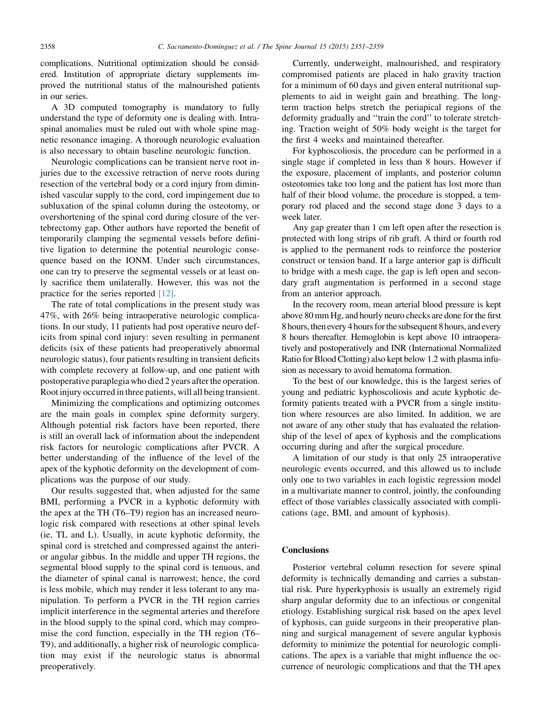complications. Nutritional optimization should be considered. Institution of appropriate dietary supplements improved the nutritional status of the malnourished patients in our series.

A 3D computed tomography is mandatory to fully understand the type of deformity one is dealing with. Intraspinal anomalies must be ruled out with whole spine magnetic resonance imaging. A thorough neurologic evaluation is also necessary to obtain baseline neurologic function.

Neurologic complications can be transient nerve root injuries due to the excessive retraction of nerve roots during resection of the vertebral body or a cord injury from diminished vascular supply to the cord, cord impingement due to subluxation of the spinal column during the osteotomy, or overshortening of the spinal cord during closure of the vertebrectomy gap. Other authors have reported the benefit of temporarily clamping the segmental vessels before definitive ligation to determine the potential neurologic consequence based on the IONM. Under such circumstances, one can try to preserve the segmental vessels or at least only sacrifice them unilaterally. However, this was not the practice for the series reported [12].

The rate of total complications in the present study was 47%, with 26% being intraoperative neurologic complications. In our study, 11 patients had post operative neuro deficits from spinal cord injury: seven resulting in permanent deficits (six of these patients had preoperatively abnormal neurologic status), four patients resulting in transient deficits with complete recovery at follow-up, and one patient with postoperative paraplegia who died 2 years after the operation. Root injury occurred in three patients, will all being transient.

Minimizing the complications and optimizing outcomes are the main goals in complex spine deformity surgery. Although potential risk factors have been reported, there is still an overall lack of information about the independent risk factors for neurologic complications after PVCR. A better understanding of the influence of the level of the apex of the kyphotic deformity on the development of complications was the purpose of our study.

Our results suggested that, when adjusted for the same BMI, performing a PVCR in a kyphotic deformity with the apex at the TH (T6–T9) region has an increased neurologic risk compared with resections at other spinal levels (ie, TL and L). Usually, in acute kyphotic deformity, the spinal cord is stretched and compressed against the anterior angular gibbus. In the middle and upper TH regions, the segmental blood supply to the spinal cord is tenuous, and the diameter of spinal canal is narrowest; hence, the cord is less mobile, which may render it less tolerant to any manipulation. To perform a PVCR in the TH region carries implicit interference in the segmental arteries and therefore in the blood supply to the spinal cord, which may compromise the cord function, especially in the TH region (T6– T9), and additionally, a higher risk of neurologic complication may exist if the neurologic status is abnormal preoperatively.

Currently, underweight, malnourished, and respiratory compromised patients are placed in halo gravity traction for a minimum of 60 days and given enteral nutritional supplements to aid in weight gain and breathing. The longterm traction helps stretch the periapical regions of the deformity gradually and ''train the cord'' to tolerate stretching. Traction weight of 50% body weight is the target for the first 4 weeks and maintained thereafter.

For kyphoscoliosis, the procedure can be performed in a single stage if completed in less than 8 hours. However if the exposure, placement of implants, and posterior column osteotomies take too long and the patient has lost more than half of their blood volume, the procedure is stopped, a temporary rod placed and the second stage done 3 days to a week later.

Any gap greater than 1 cm left open after the resection is protected with long strips of rib graft. A third or fourth rod is applied to the permanent rods to reinforce the posterior construct or tension band. If a large anterior gap is difficult to bridge with a mesh cage, the gap is left open and secondary graft augmentation is performed in a second stage from an anterior approach.

In the recovery room, mean arterial blood pressure is kept above 80 mm Hg, and hourly neuro checks are done for the first 8 hours, then every 4 hours for the subsequent 8 hours, and every 8 hours thereafter. Hemoglobin is kept above 10 intraoperatively and postoperatively and INR (International Normalized Ratio for Blood Clotting) also kept below 1.2 with plasma infusion as necessary to avoid hematoma formation.

To the best of our knowledge, this is the largest series of young and pediatric kyphoscoliosis and acute kyphotic deformity patients treated with a PVCR from a single institution where resources are also limited. In addition, we are not aware of any other study that has evaluated the relationship of the level of apex of kyphosis and the complications occurring during and after the surgical procedure.

A limitation of our study is that only 25 intraoperative neurologic events occurred, and this allowed us to include only one to two variables in each logistic regression model in a multivariate manner to control, jointly, the confounding effect of those variables classically associated with complications (age, BMI, and amount of kyphosis).

#### **Conclusions**

Posterior vertebral column resection for severe spinal deformity is technically demanding and carries a substantial risk. Pure hyperkyphosis is usually an extremely rigid sharp angular deformity due to an infectious or congenital etiology. Establishing surgical risk based on the apex level of kyphosis, can guide surgeons in their preoperative planning and surgical management of severe angular kyphosis deformity to minimize the potential for neurologic complications. The apex is a variable that might influence the occurrence of neurologic complications and that the TH apex